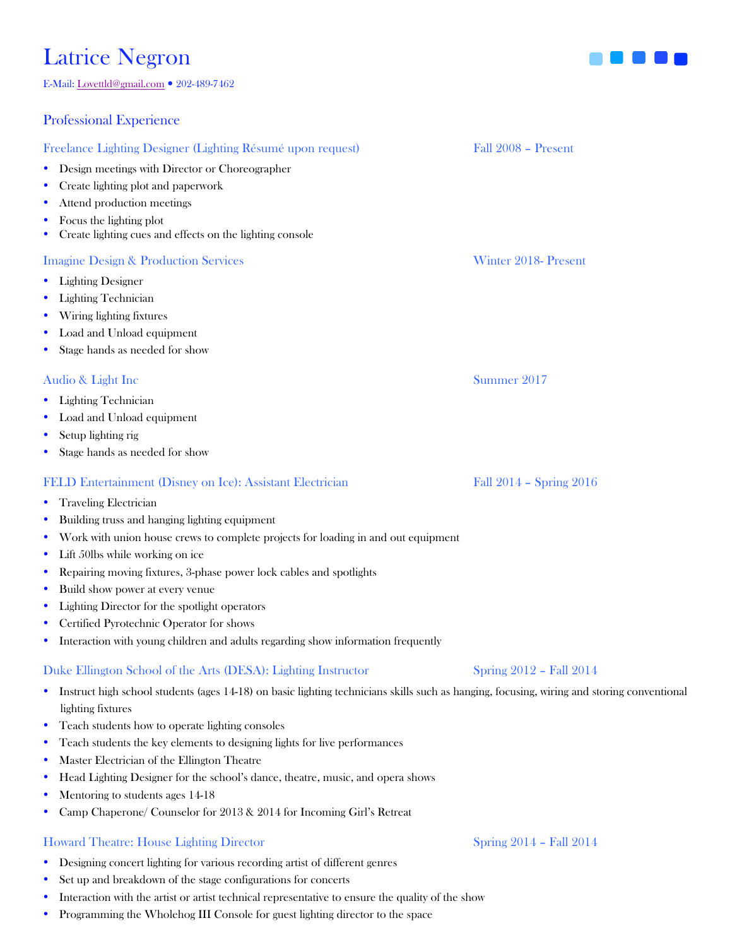# Latrice Negron<br>E-Mail: Lovettld@gmail.com • 202-489-7462

### Professional Experience

### Freelance Lighting Designer (Lighting Résumé upon request) Fall 2008 – Present

- Design meetings with Director or Choreographer
- Create lighting plot and paperwork
- Attend production meetings
- Focus the lighting plot
- Create lighting cues and effects on the lighting console

### Imagine Design & Production Services Winter 2018- Present

- Lighting Designer
- Lighting Technician
- Wiring lighting fixtures
- Load and Unload equipment
- Stage hands as needed for show

### Audio & Light Inc Summer 2017

- Lighting Technician
- Load and Unload equipment
- Setup lighting rig
- Stage hands as needed for show

### FELD Entertainment (Disney on Ice): Assistant Electrician Fall 2014 – Spring 2016

- Traveling Electrician
- Building truss and hanging lighting equipment
- Work with union house crews to complete projects for loading in and out equipment
- Lift 50lbs while working on ice
- Repairing moving fixtures, 3-phase power lock cables and spotlights
- Build show power at every venue
- Lighting Director for the spotlight operators
- Certified Pyrotechnic Operator for shows
- Interaction with young children and adults regarding show information frequently

### Duke Ellington School of the Arts (DESA): Lighting Instructor Spring 2012 – Fall 2014

- Instruct high school students (ages 14-18) on basic lighting technicians skills such as hanging, focusing, wiring and storing conventional lighting fixtures
- Teach students how to operate lighting consoles
- Teach students the key elements to designing lights for live performances
- Master Electrician of the Ellington Theatre
- Head Lighting Designer for the school's dance, theatre, music, and opera shows
- Mentoring to students ages 14-18
- Camp Chaperone/ Counselor for 2013 & 2014 for Incoming Girl's Retreat

### Howard Theatre: House Lighting Director Spring 2014 – Fall 2014

- Designing concert lighting for various recording artist of different genres
- Set up and breakdown of the stage configurations for concerts
- Interaction with the artist or artist technical representative to ensure the quality of the show
- Programming the Wholehog III Console for guest lighting director to the space

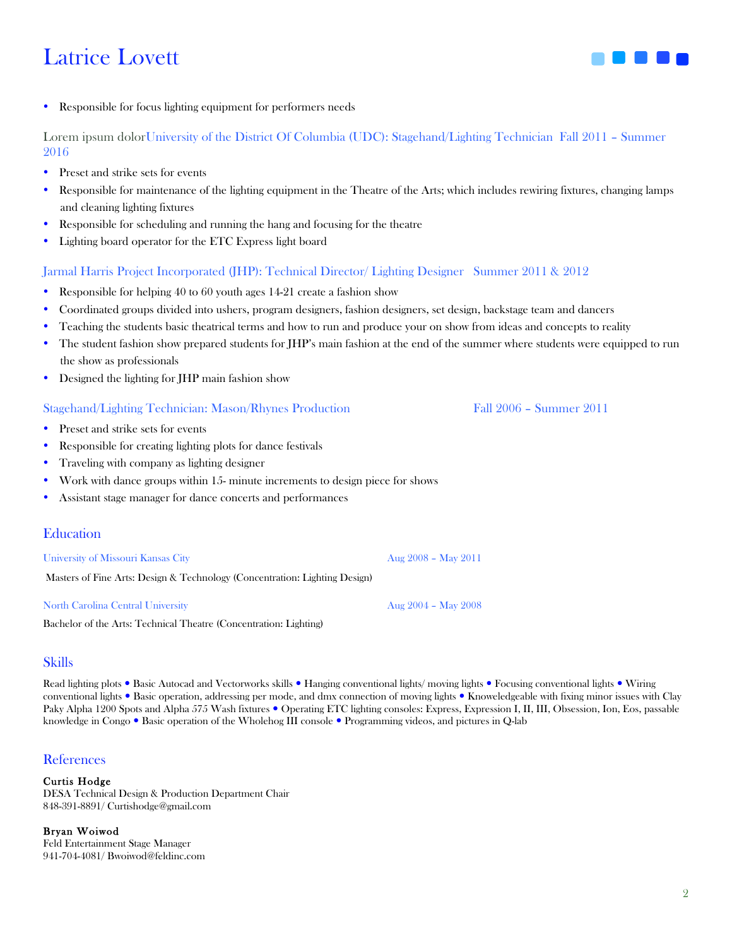## Latrice Lovett



• Responsible for focus lighting equipment for performers needs

Lorem ipsum dolorUniversity of the District Of Columbia (UDC): Stagehand/Lighting Technician Fall 2011 – Summer 2016

- Preset and strike sets for events
- Responsible for maintenance of the lighting equipment in the Theatre of the Arts; which includes rewiring fixtures, changing lamps and cleaning lighting fixtures
- Responsible for scheduling and running the hang and focusing for the theatre
- Lighting board operator for the ETC Express light board

### Jarmal Harris Project Incorporated (JHP): Technical Director/ Lighting Designer Summer 2011 & 2012

- Responsible for helping 40 to 60 youth ages 14-21 create a fashion show
- Coordinated groups divided into ushers, program designers, fashion designers, set design, backstage team and dancers
- Teaching the students basic theatrical terms and how to run and produce your on show from ideas and concepts to reality
- The student fashion show prepared students for JHP's main fashion at the end of the summer where students were equipped to run the show as professionals
- Designed the lighting for JHP main fashion show

### Stagehand/Lighting Technician: Mason/Rhynes Production Fall 2006 – Summer 2011

- Preset and strike sets for events
- Responsible for creating lighting plots for dance festivals
- Traveling with company as lighting designer
- Work with dance groups within 15- minute increments to design piece for shows
- Assistant stage manager for dance concerts and performances

### Education

University of Missouri Kansas City Aug 2008 – May 2011

Masters of Fine Arts: Design & Technology (Concentration: Lighting Design)

### North Carolina Central University Aug 2004 – May 2008

Bachelor of the Arts: Technical Theatre (Concentration: Lighting)

### Skills

Read lighting plots . Basic Autocad and Vectorworks skills . Hanging conventional lights/moving lights . Focusing conventional lights . Wiring conventional lights . Basic operation, addressing per mode, and dmx connection of moving lights . Knoweledgeable with fixing minor issues with Clay Paky Alpha 1200 Spots and Alpha 575 Wash fixtures . Operating ETC lighting consoles: Express, Expression I, II, III, Obsession, Ion, Eos, passable knowledge in Congo . Basic operation of the Wholehog III console . Programming videos, and pictures in Q-lab

### References

### Curtis Hodge

DESA Technical Design & Production Department Chair 848-391-8891/ Curtishodge@gmail.com

Bryan Woiwod Feld Entertainment Stage Manager 941-704-4081/ Bwoiwod@feldinc.com

2